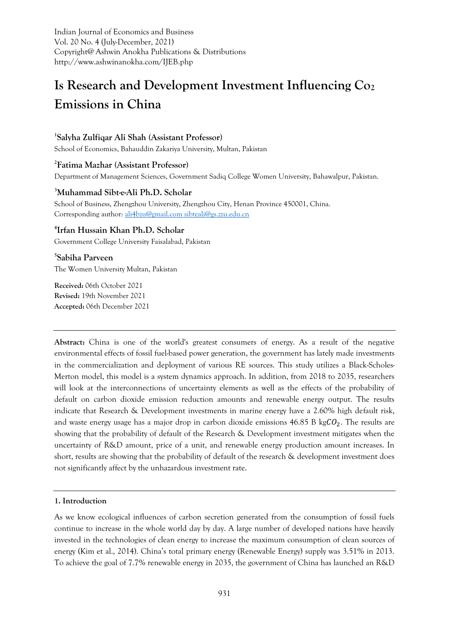Indian Journal of Economics and Business Vol. 20 No. 4 (July-December, 2021) Copyright@ Ashwin Anokha Publications & Distributions http://www.ashwinanokha.com/IJEB.php

# **Is Research and Development Investment Influencing Co<sup>2</sup> Emissions in China**

# **1 Salyha Zulfiqar Ali Shah (Assistant Professor)**

School of Economics, Bahauddin Zakariya University, Multan, Pakistan

# **2 Fatima Mazhar (Assistant Professor)**

Department of Management Sciences, Government Sadiq College Women University, Bahawalpur, Pakistan.

#### **<sup>3</sup>Muhammad Sibt-e-Ali Ph.D. Scholar**

School of Business, Zhengzhou University, Zhengzhou City, Henan Province 450001, China. Corresponding author[: ali4bzu@gmail.com](mailto:ali4bzu@gmail.com) [sibteali@gs.zzu.edu.cn](mailto:sibteali@gs.zzu.edu.cn)

# **4 Irfan Hussain Khan Ph.D. Scholar**

Government College University Faisalabad, Pakistan

**5 Sabiha Parveen** The Women University Multan, Pakistan

**Received:** 06th October 2021 **Revised:** 19th November 2021 **Accepted:** 06th December 2021

**Abstract:** China is one of the world's greatest consumers of energy. As a result of the negative environmental effects of fossil fuel-based power generation, the government has lately made investments in the commercialization and deployment of various RE sources. This study utilizes a Black-Scholes-Merton model, this model is a system dynamics approach. In addition, from 2018 to 2035, researchers will look at the interconnections of uncertainty elements as well as the effects of the probability of default on carbon dioxide emission reduction amounts and renewable energy output. The results indicate that Research & Development investments in marine energy have a 2.60% high default risk, and waste energy usage has a major drop in carbon dioxide emissions  $46.85$  B kg $C_2$ . The results are showing that the probability of default of the Research & Development investment mitigates when the uncertainty of R&D amount, price of a unit, and renewable energy production amount increases. In short, results are showing that the probability of default of the research & development investment does not significantly affect by the unhazardous investment rate.

#### **1. Introduction**

As we know ecological influences of carbon secretion generated from the consumption of fossil fuels continue to increase in the whole world day by day. A large number of developed nations have heavily invested in the technologies of clean energy to increase the maximum consumption of clean sources of energy (Kim et al., 2014). China's total primary energy (Renewable Energy) supply was 3.51% in 2013. To achieve the goal of 7.7% renewable energy in 2035, the government of China has launched an R&D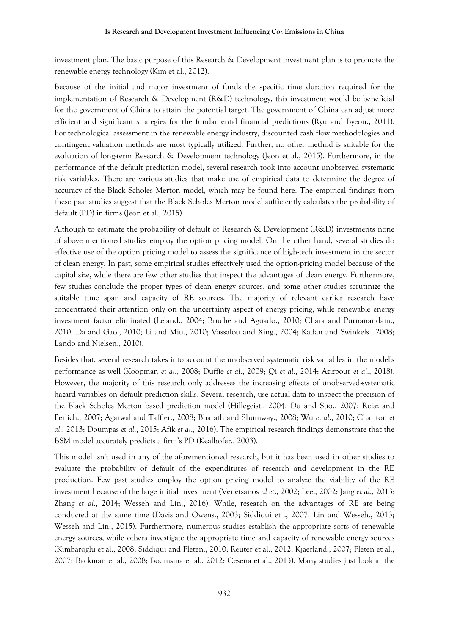investment plan. The basic purpose of this Research & Development investment plan is to promote the renewable energy technology (Kim et al., 2012).

Because of the initial and major investment of funds the specific time duration required for the implementation of Research & Development (R&D) technology, this investment would be beneficial for the government of China to attain the potential target. The government of China can adjust more efficient and significant strategies for the fundamental financial predictions (Ryu and Byeon., 2011). For technological assessment in the renewable energy industry, discounted cash flow methodologies and contingent valuation methods are most typically utilized. Further, no other method is suitable for the evaluation of long-term Research & Development technology (Jeon et al., 2015). Furthermore, in the performance of the default prediction model, several research took into account unobserved systematic risk variables. There are various studies that make use of empirical data to determine the degree of accuracy of the Black Scholes Merton model, which may be found here. The empirical findings from these past studies suggest that the Black Scholes Merton model sufficiently calculates the probability of default (PD) in firms (Jeon et al., 2015).

Although to estimate the probability of default of Research & Development (R&D) investments none of above mentioned studies employ the option pricing model. On the other hand, several studies do effective use of the option pricing model to assess the significance of high-tech investment in the sector of clean energy. In past, some empirical studies effectively used the option-pricing model because of the capital size, while there are few other studies that inspect the advantages of clean energy. Furthermore, few studies conclude the proper types of clean energy sources, and some other studies scrutinize the suitable time span and capacity of RE sources. The majority of relevant earlier research have concentrated their attention only on the uncertainty aspect of energy pricing, while renewable energy investment factor eliminated (Leland., 2004; Bruche and Aguado., 2010; Chara and Purnanandam., 2010; Da and Gao., 2010; Li and Miu., 2010; Vassalou and Xing., 2004; Kadan and Swinkels., 2008; Lando and Nielsen., 2010).

Besides that, several research takes into account the unobserved systematic risk variables in the model's performance as well (Koopman *et al*., 2008; Duffie *et al*., 2009; Qi *et al*., 2014; Azizpour *et al*., 2018). However, the majority of this research only addresses the increasing effects of unobserved-systematic hazard variables on default prediction skills. Several research, use actual data to inspect the precision of the Black Scholes Merton based prediction model (Hillegeist., 2004; Du and Suo., 2007; Reisz and Perlich., 2007; Agarwal and Taffler., 2008; Bharath and Shumway., 2008; Wu *et al*., 2010; Charitou *et al*., 2013; Doumpas *et al*., 2015; Afik *et al*., 2016). The empirical research findings demonstrate that the BSM model accurately predicts a firm's PD (Kealhofer., 2003).

This model isn't used in any of the aforementioned research, but it has been used in other studies to evaluate the probability of default of the expenditures of research and development in the RE production. Few past studies employ the option pricing model to analyze the viability of the RE investment because of the large initial investment (Venetsanos *al et*., 2002; Lee., 2002; Jang *et al*., 2013; Zhang *et al*., 2014; Wesseh and Lin., 2016). While, research on the advantages of RE are being conducted at the same time (Davis and Owens., 2003; Siddiqui et ., 2007; Lin and Wesseh., 2013; Wesseh and Lin., 2015). Furthermore, numerous studies establish the appropriate sorts of renewable energy sources, while others investigate the appropriate time and capacity of renewable energy sources (Kimbaroglu et al., 2008; Siddiqui and Fleten., 2010; Reuter et al., 2012; Kjaerland., 2007; Fleten et al., 2007; Backman et al., 2008; Boomsma et al., 2012; Cesena et al., 2013). Many studies just look at the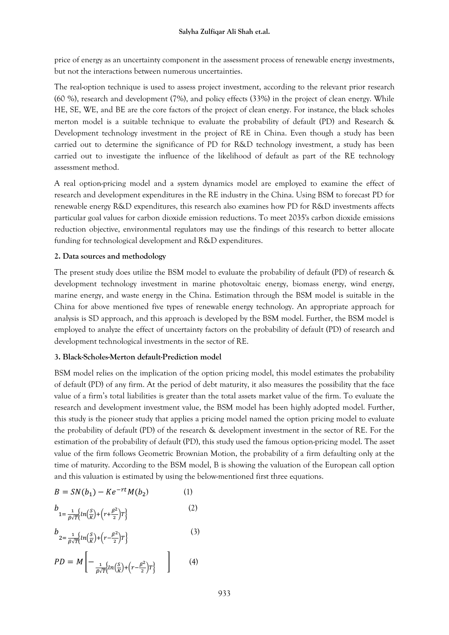price of energy as an uncertainty component in the assessment process of renewable energy investments, but not the interactions between numerous uncertainties.

The real-option technique is used to assess project investment, according to the relevant prior research (60 %), research and development (7%), and policy effects (33%) in the project of clean energy. While HE, SE, WE, and BE are the core factors of the project of clean energy. For instance, the black scholes merton model is a suitable technique to evaluate the probability of default (PD) and Research & Development technology investment in the project of RE in China. Even though a study has been carried out to determine the significance of PD for R&D technology investment, a study has been carried out to investigate the influence of the likelihood of default as part of the RE technology assessment method.

A real option-pricing model and a system dynamics model are employed to examine the effect of research and development expenditures in the RE industry in the China. Using BSM to forecast PD for renewable energy R&D expenditures, this research also examines how PD for R&D investments affects particular goal values for carbon dioxide emission reductions. To meet 2035's carbon dioxide emissions reduction objective, environmental regulators may use the findings of this research to better allocate funding for technological development and R&D expenditures.

# **2. Data sources and methodology**

The present study does utilize the BSM model to evaluate the probability of default (PD) of research & development technology investment in marine photovoltaic energy, biomass energy, wind energy, marine energy, and waste energy in the China. Estimation through the BSM model is suitable in the China for above mentioned five types of renewable energy technology. An appropriate approach for analysis is SD approach, and this approach is developed by the BSM model. Further, the BSM model is employed to analyze the effect of uncertainty factors on the probability of default (PD) of research and development technological investments in the sector of RE.

# **3. Black-Scholes-Merton default-Prediction model**

BSM model relies on the implication of the option pricing model, this model estimates the probability of default (PD) of any firm. At the period of debt maturity, it also measures the possibility that the face value of a firm's total liabilities is greater than the total assets market value of the firm. To evaluate the research and development investment value, the BSM model has been highly adopted model. Further, this study is the pioneer study that applies a pricing model named the option pricing model to evaluate the probability of default (PD) of the research & development investment in the sector of RE. For the estimation of the probability of default (PD), this study used the famous option-pricing model. The asset value of the firm follows Geometric Brownian Motion, the probability of a firm defaulting only at the time of maturity. According to the BSM model, B is showing the valuation of the European call option and this valuation is estimated by using the below-mentioned first three equations.

$$
B = SN(b_1) - Ke^{-rt}M(b_2)
$$
 (1)

$$
b_{1=\frac{1}{\beta\sqrt{T}}\left\{ln\left(\frac{S}{K}\right) + \left(r + \frac{\beta^2}{2}\right)T\right\}}
$$
 (2)

$$
b_{2=\frac{1}{\beta\sqrt{T}}\left\{ln\left(\frac{S}{K}\right) + \left(r - \frac{\beta^2}{2}\right)T\right\}}
$$
\n(3)

$$
PD = M \left[ -\frac{1}{\beta \sqrt{T}} \left\{ ln\left(\frac{S}{K}\right) + \left(r - \frac{\beta^2}{2}\right) T \right\} \right] \tag{4}
$$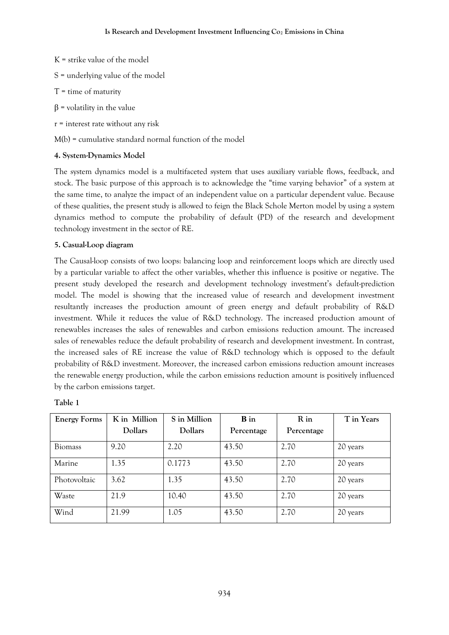- $K =$  strike value of the model
- S = underlying value of the model
- $T =$  time of maturity
- $β =$  volatility in the value
- r = interest rate without any risk

M(b) = cumulative standard normal function of the model

# **4. System-Dynamics Model**

The system dynamics model is a multifaceted system that uses auxiliary variable flows, feedback, and stock. The basic purpose of this approach is to acknowledge the "time varying behavior" of a system at the same time, to analyze the impact of an independent value on a particular dependent value. Because of these qualities, the present study is allowed to feign the Black Schole Merton model by using a system dynamics method to compute the probability of default (PD) of the research and development technology investment in the sector of RE.

# **5. Casual-Loop diagram**

The Causal-loop consists of two loops: balancing loop and reinforcement loops which are directly used by a particular variable to affect the other variables, whether this influence is positive or negative. The present study developed the research and development technology investment's default-prediction model. The model is showing that the increased value of research and development investment resultantly increases the production amount of green energy and default probability of R&D investment. While it reduces the value of R&D technology. The increased production amount of renewables increases the sales of renewables and carbon emissions reduction amount. The increased sales of renewables reduce the default probability of research and development investment. In contrast, the increased sales of RE increase the value of R&D technology which is opposed to the default probability of R&D investment. Moreover, the increased carbon emissions reduction amount increases the renewable energy production, while the carbon emissions reduction amount is positively influenced by the carbon emissions target.

| <b>Energy Forms</b> | K in Million | S in Million   | <b>B</b> in | R in       | T in Years |
|---------------------|--------------|----------------|-------------|------------|------------|
|                     | Dollars      | <b>Dollars</b> | Percentage  | Percentage |            |
| <b>Biomass</b>      | 9.20         | 2.20           | 43.50       | 2.70       | 20 years   |
| Marine              | 1.35         | 0.1773         | 43.50       | 2.70       | 20 years   |
| Photovoltaic        | 3.62         | 1.35           | 43.50       | 2.70       | 20 years   |
| Waste               | 21.9         | 10.40          | 43.50       | 2.70       | 20 years   |
| Wind                | 21.99        | 1.05           | 43.50       | 2.70       | 20 years   |

| ари |  |
|-----|--|
|     |  |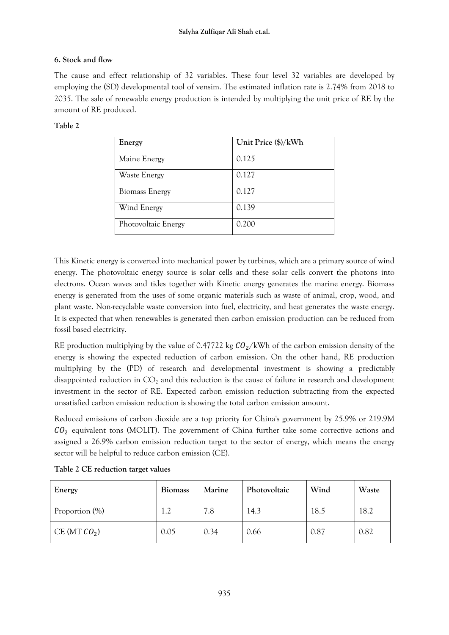# **6. Stock and flow**

The cause and effect relationship of 32 variables. These four level 32 variables are developed by employing the (SD) developmental tool of vensim. The estimated inflation rate is 2.74% from 2018 to 2035. The sale of renewable energy production is intended by multiplying the unit price of RE by the amount of RE produced.

# **Table 2**

| Energy                | Unit Price (\$)/kWh |
|-----------------------|---------------------|
| Maine Energy          | 0.125               |
| Waste Energy          | 0.127               |
| <b>Biomass Energy</b> | 0.127               |
| Wind Energy           | 0.139               |
| Photovoltaic Energy   | 0.200               |

This Kinetic energy is converted into mechanical power by turbines, which are a primary source of wind energy. The photovoltaic energy source is solar cells and these solar cells convert the photons into electrons. Ocean waves and tides together with Kinetic energy generates the marine energy. Biomass energy is generated from the uses of some organic materials such as waste of animal, crop, wood, and plant waste. Non-recyclable waste conversion into fuel, electricity, and heat generates the waste energy. It is expected that when renewables is generated then carbon emission production can be reduced from fossil based electricity.

RE production multiplying by the value of 0.47722 kg  $CO_2/kWh$  of the carbon emission density of the energy is showing the expected reduction of carbon emission. On the other hand, RE production multiplying by the (PD) of research and developmental investment is showing a predictably disappointed reduction in  $CO<sub>2</sub>$  and this reduction is the cause of failure in research and development investment in the sector of RE. Expected carbon emission reduction subtracting from the expected unsatisfied carbon emission reduction is showing the total carbon emission amount.

Reduced emissions of carbon dioxide are a top priority for China's government by 25.9% or 219.9M  $CO<sub>2</sub>$  equivalent tons (MOLIT). The government of China further take some corrective actions and assigned a 26.9% carbon emission reduction target to the sector of energy, which means the energy sector will be helpful to reduce carbon emission (CE).

| Energy         | <b>Biomass</b> | <b>Marine</b> | Photovoltaic | Wind | Waste |
|----------------|----------------|---------------|--------------|------|-------|
| Proportion (%) | 1.2            | 7.8           | 14.3         | 18.5 | 18.2  |
| CE (MT $CO2$ ) | 0.05           | 0.34          | 0.66         | 0.87 | 0.82  |

|  |  |  | Table 2 CE reduction target values |  |
|--|--|--|------------------------------------|--|
|--|--|--|------------------------------------|--|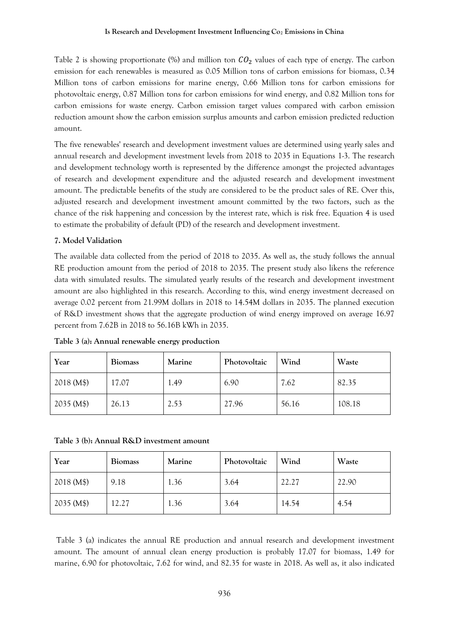Table 2 is showing proportionate (%) and million ton  $CO<sub>2</sub>$  values of each type of energy. The carbon emission for each renewables is measured as 0.05 Million tons of carbon emissions for biomass, 0.34 Million tons of carbon emissions for marine energy, 0.66 Million tons for carbon emissions for photovoltaic energy, 0.87 Million tons for carbon emissions for wind energy, and 0.82 Million tons for carbon emissions for waste energy. Carbon emission target values compared with carbon emission reduction amount show the carbon emission surplus amounts and carbon emission predicted reduction amount.

The five renewables' research and development investment values are determined using yearly sales and annual research and development investment levels from 2018 to 2035 in Equations 1-3. The research and development technology worth is represented by the difference amongst the projected advantages of research and development expenditure and the adjusted research and development investment amount. The predictable benefits of the study are considered to be the product sales of RE. Over this, adjusted research and development investment amount committed by the two factors, such as the chance of the risk happening and concession by the interest rate, which is risk free. Equation 4 is used to estimate the probability of default (PD) of the research and development investment.

#### **7. Model Validation**

The available data collected from the period of 2018 to 2035. As well as, the study follows the annual RE production amount from the period of 2018 to 2035. The present study also likens the reference data with simulated results. The simulated yearly results of the research and development investment amount are also highlighted in this research. According to this, wind energy investment decreased on average 0.02 percent from 21.99M dollars in 2018 to 14.54M dollars in 2035. The planned execution of R&D investment shows that the aggregate production of wind energy improved on average 16.97 percent from 7.62B in 2018 to 56.16B kWh in 2035.

| Year       | <b>Biomass</b> | <b>Marine</b> | Photovoltaic | Wind  | Waste  |
|------------|----------------|---------------|--------------|-------|--------|
| 2018 (M\$) | 17.07          | 1.49          | 6.90         | 7.62  | 82.35  |
| 2035 (M\$) | 26.13          | 2.53          | 27.96        | 56.16 | 108.18 |

**Table 3 (a): Annual renewable energy production**

|  | Table 3 (b): Annual R&D investment amount |  |  |  |
|--|-------------------------------------------|--|--|--|
|--|-------------------------------------------|--|--|--|

| Year       | <b>Biomass</b> | Marine | Photovoltaic | Wind  | Waste |
|------------|----------------|--------|--------------|-------|-------|
| 2018 (M\$) | 9.18           | 1.36   | 3.64         | 22.27 | 22.90 |
| 2035 (M\$) | 12.27          | 1.36   | 3.64         | 14.54 | 4.54  |

Table 3 (a) indicates the annual RE production and annual research and development investment amount. The amount of annual clean energy production is probably 17.07 for biomass, 1.49 for marine, 6.90 for photovoltaic, 7.62 for wind, and 82.35 for waste in 2018. As well as, it also indicated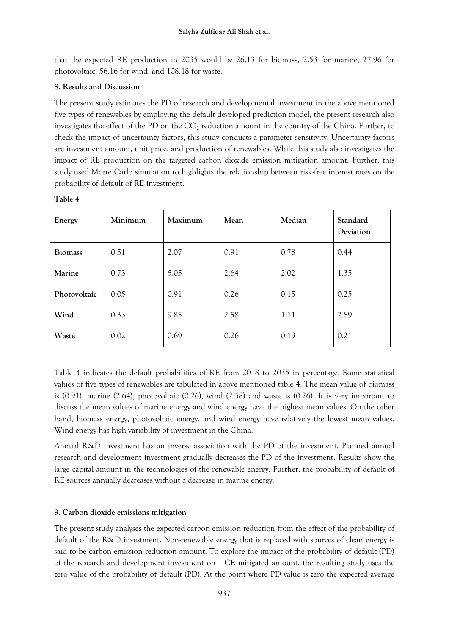that the expected RE production in 2035 would be 26.13 for biomass, 2.53 for marine, 27.96 for photovoltaic, 56.16 for wind, and 108.18 for waste.

## **8. Results and Discussion**

The present study estimates the PD of research and developmental investment in the above mentioned five types of renewables by employing the default developed prediction model, the present research also investigates the effect of the PD on the  $CO<sub>2</sub>$  reduction amount in the country of the China. Further, to check the impact of uncertainty factors, this study conducts a parameter sensitivity. Uncertainty factors are investment amount, unit price, and production of renewables. While this study also investigates the impact of RE production on the targeted carbon dioxide emission mitigation amount. Further, this study used Morte Carlo simulation to highlights the relationship between risk-free interest rates on the probability of default of RE investment.

| Energy         | Minimum | Maximum | Mean | Median | Standard<br>Deviation |
|----------------|---------|---------|------|--------|-----------------------|
| <b>Biomass</b> | 0.51    | 2.07    | 0.91 | 0.78   | 0.44                  |
| Marine         | 0.73    | 5.05    | 2.64 | 2.02   | 1.35                  |
| Photovoltaic   | 0.05    | 0.91    | 0.26 | 0.15   | 0.25                  |
| Wind           | 0.33    | 9.85    | 2.58 | 1.11   | 2.89                  |
| Waste          | 0.02    | 0.69    | 0.26 | 0.19   | 0.21                  |

**Table 4** 

Table 4 indicates the default probabilities of RE from 2018 to 2035 in percentage. Some statistical values of five types of renewables are tabulated in above mentioned table 4. The mean value of biomass is  $(0.91)$ , marine  $(2.64)$ , photovoltaic  $(0.26)$ , wind  $(2.58)$  and waste is  $(0.26)$ . It is very important to discuss the mean values of marine energy and wind energy have the highest mean values. On the other hand, biomass energy, photovoltaic energy, and wind energy have relatively the lowest mean values. Wind energy has high variability of investment in the China.

Annual R&D investment has an inverse association with the PD of the investment. Planned annual research and development investment gradually decreases the PD of the investment. Results show the large capital amount in the technologies of the renewable energy. Further, the probability of default of RE sources annually decreases without a decrease in marine energy.

# **9. Carbon dioxide emissions mitigation**

The present study analyses the expected carbon emission reduction from the effect of the probability of default of the R&D investment. Non-renewable energy that is replaced with sources of clean energy is said to be carbon emission reduction amount. To explore the impact of the probability of default (PD) of the research and development investment on CE mitigated amount, the resulting study uses the zero value of the probability of default (PD). At the point where PD value is zero the expected average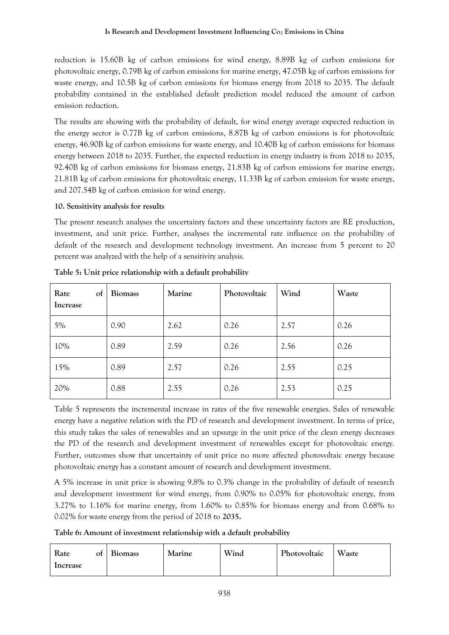## **Is Research and Development Investment Influencing Co<sup>2</sup> Emissions in China**

reduction is 15.60B kg of carbon emissions for wind energy, 8.89B kg of carbon emissions for photovoltaic energy, 0.79B kg of carbon emissions for marine energy, 47.05B kg of carbon emissions for waste energy, and 10.5B kg of carbon emissions for biomass energy from 2018 to 2035. The default probability contained in the established default prediction model reduced the amount of carbon emission reduction.

The results are showing with the probability of default, for wind energy average expected reduction in the energy sector is 0.77B kg of carbon emissions, 8.87B kg of carbon emissions is for photovoltaic energy, 46.90B kg of carbon emissions for waste energy, and 10.40B kg of carbon emissions for biomass energy between 2018 to 2035. Further, the expected reduction in energy industry is from 2018 to 2035, 92.40B kg of carbon emissions for biomass energy, 21.83B kg of carbon emissions for marine energy, 21.81B kg of carbon emissions for photovoltaic energy, 11.33B kg of carbon emission for waste energy, and 207.54B kg of carbon emission for wind energy.

## **10. Sensitivity analysis for results**

The present research analyses the uncertainty factors and these uncertainty factors are RE production, investment, and unit price. Further, analyses the incremental rate influence on the probability of default of the research and development technology investment. An increase from 5 percent to 20 percent was analyzed with the help of a sensitivity analysis.

| Rate<br>of<br>Increase | <b>Biomass</b> | Marine | Photovoltaic | Wind | Waste |
|------------------------|----------------|--------|--------------|------|-------|
| 5%                     | 0.90           | 2.62   | 0.26         | 2.57 | 0.26  |
| 10%                    | 0.89           | 2.59   | 0.26         | 2.56 | 0.26  |
| 15%                    | 0.89           | 2.57   | 0.26         | 2.55 | 0.25  |
| 20%                    | 0.88           | 2.55   | 0.26         | 2.53 | 0.25  |

**Table 5: Unit price relationship with a default probability**

Table 5 represents the incremental increase in rates of the five renewable energies. Sales of renewable energy have a negative relation with the PD of research and development investment. In terms of price, this study takes the sales of renewables and an upsurge in the unit price of the clean energy decreases the PD of the research and development investment of renewables except for photovoltaic energy. Further, outcomes show that uncertainty of unit price no more affected photovoltaic energy because photovoltaic energy has a constant amount of research and development investment.

A 5% increase in unit price is showing 9.8% to 0.3% change in the probability of default of research and development investment for wind energy, from 0.90% to 0.05% for photovoltaic energy, from 3.27% to 1.16% for marine energy, from 1.60% to 0.85% for biomass energy and from 0.68% to 0.02% for waste energy from the period of 2018 to **2035.**

**Table 6: Amount of investment relationship with a default probability**

| Rate<br>Increase | ot | <b>Biomass</b> | Marine | Wind | Photovoltaic | Waste |
|------------------|----|----------------|--------|------|--------------|-------|
|------------------|----|----------------|--------|------|--------------|-------|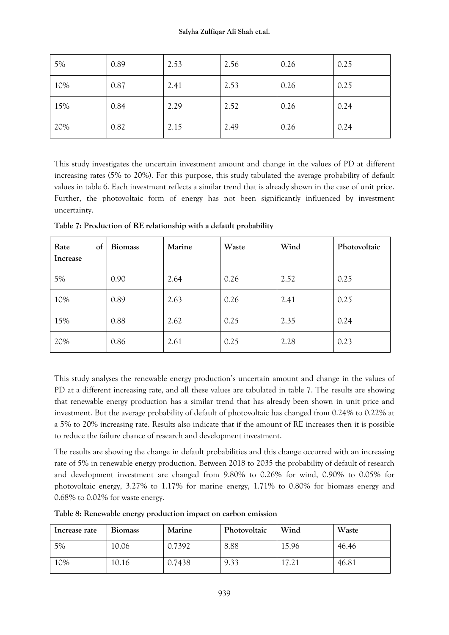| 5%  | 0.89 | 2.53 | 2.56 | 0.26 | 0.25 |
|-----|------|------|------|------|------|
| 10% | 0.87 | 2.41 | 2.53 | 0.26 | 0.25 |
| 15% | 0.84 | 2.29 | 2.52 | 0.26 | 0.24 |
| 20% | 0.82 | 2.15 | 2.49 | 0.26 | 0.24 |

This study investigates the uncertain investment amount and change in the values of PD at different increasing rates (5% to 20%). For this purpose, this study tabulated the average probability of default values in table 6. Each investment reflects a similar trend that is already shown in the case of unit price. Further, the photovoltaic form of energy has not been significantly influenced by investment uncertainty.

| Rate<br>of<br>Increase | <b>Biomass</b> | Marine | Waste | Wind | Photovoltaic |
|------------------------|----------------|--------|-------|------|--------------|
| 5%                     | 0.90           | 2.64   | 0.26  | 2.52 | 0.25         |
| 10%                    | 0.89           | 2.63   | 0.26  | 2.41 | 0.25         |
| 15%                    | 0.88           | 2.62   | 0.25  | 2.35 | 0.24         |
| 20%                    | 0.86           | 2.61   | 0.25  | 2.28 | 0.23         |

**Table 7: Production of RE relationship with a default probability**

This study analyses the renewable energy production's uncertain amount and change in the values of PD at a different increasing rate, and all these values are tabulated in table 7. The results are showing that renewable energy production has a similar trend that has already been shown in unit price and investment. But the average probability of default of photovoltaic has changed from 0.24% to 0.22% at a 5% to 20% increasing rate. Results also indicate that if the amount of RE increases then it is possible to reduce the failure chance of research and development investment.

The results are showing the change in default probabilities and this change occurred with an increasing rate of 5% in renewable energy production. Between 2018 to 2035 the probability of default of research and development investment are changed from 9.80% to 0.26% for wind, 0.90% to 0.05% for photovoltaic energy, 3.27% to 1.17% for marine energy, 1.71% to 0.80% for biomass energy and 0.68% to 0.02% for waste energy.

**Table 8: Renewable energy production impact on carbon emission**

| Increase rate | <b>Biomass</b> | <b>Marine</b> | Photovoltaic | Wind  | Waste |
|---------------|----------------|---------------|--------------|-------|-------|
| 5%            | 10.06          | 0.7392        | 8.88         | 15.96 | 46.46 |
| 10%           | 10.16          | 0.7438        | 9.33         | 17.21 | 46.81 |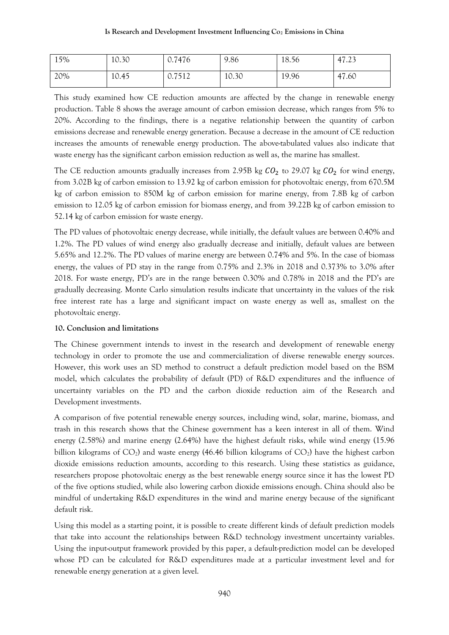| 15% | 10.30 | 0.7476 | 9.86  | 18.56 | 47.23 |
|-----|-------|--------|-------|-------|-------|
| 20% | 10.45 | 0.7512 | 10.30 | 19.96 | 47.60 |

This study examined how CE reduction amounts are affected by the change in renewable energy production. Table 8 shows the average amount of carbon emission decrease, which ranges from 5% to 20%. According to the findings, there is a negative relationship between the quantity of carbon emissions decrease and renewable energy generation. Because a decrease in the amount of CE reduction increases the amounts of renewable energy production. The above-tabulated values also indicate that waste energy has the significant carbon emission reduction as well as, the marine has smallest.

The CE reduction amounts gradually increases from 2.95B kg  $CO<sub>2</sub>$  to 29.07 kg  $CO<sub>2</sub>$  for wind energy, from 3.02B kg of carbon emission to 13.92 kg of carbon emission for photovoltaic energy, from 670.5M kg of carbon emission to 850M kg of carbon emission for marine energy, from 7.8B kg of carbon emission to 12.05 kg of carbon emission for biomass energy, and from 39.22B kg of carbon emission to 52.14 kg of carbon emission for waste energy.

The PD values of photovoltaic energy decrease, while initially, the default values are between 0.40% and 1.2%. The PD values of wind energy also gradually decrease and initially, default values are between 5.65% and 12.2%. The PD values of marine energy are between 0.74% and 5%. In the case of biomass energy, the values of PD stay in the range from 0.75% and 2.3% in 2018 and 0.373% to 3.0% after 2018. For waste energy, PD's are in the range between 0.30% and 0.78% in 2018 and the PD's are gradually decreasing. Monte Carlo simulation results indicate that uncertainty in the values of the risk free interest rate has a large and significant impact on waste energy as well as, smallest on the photovoltaic energy.

## **10. Conclusion and limitations**

The Chinese government intends to invest in the research and development of renewable energy technology in order to promote the use and commercialization of diverse renewable energy sources. However, this work uses an SD method to construct a default prediction model based on the BSM model, which calculates the probability of default (PD) of R&D expenditures and the influence of uncertainty variables on the PD and the carbon dioxide reduction aim of the Research and Development investments.

A comparison of five potential renewable energy sources, including wind, solar, marine, biomass, and trash in this research shows that the Chinese government has a keen interest in all of them. Wind energy (2.58%) and marine energy (2.64%) have the highest default risks, while wind energy (15.96 billion kilograms of  $CO_2$ ) and waste energy (46.46 billion kilograms of  $CO_2$ ) have the highest carbon dioxide emissions reduction amounts, according to this research. Using these statistics as guidance, researchers propose photovoltaic energy as the best renewable energy source since it has the lowest PD of the five options studied, while also lowering carbon dioxide emissions enough. China should also be mindful of undertaking R&D expenditures in the wind and marine energy because of the significant default risk.

Using this model as a starting point, it is possible to create different kinds of default prediction models that take into account the relationships between R&D technology investment uncertainty variables. Using the input-output framework provided by this paper, a default-prediction model can be developed whose PD can be calculated for R&D expenditures made at a particular investment level and for renewable energy generation at a given level.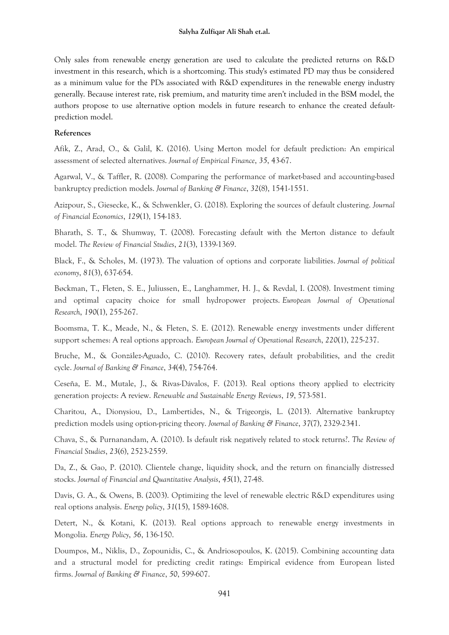Only sales from renewable energy generation are used to calculate the predicted returns on R&D investment in this research, which is a shortcoming. This study's estimated PD may thus be considered as a minimum value for the PDs associated with R&D expenditures in the renewable energy industry generally. Because interest rate, risk premium, and maturity time aren't included in the BSM model, the authors propose to use alternative option models in future research to enhance the created defaultprediction model.

## **References**

Afik, Z., Arad, O., & Galil, K. (2016). Using Merton model for default prediction: An empirical assessment of selected alternatives. *Journal of Empirical Finance*, *35*, 43-67.

Agarwal, V., & Taffler, R. (2008). Comparing the performance of market-based and accounting-based bankruptcy prediction models. *Journal of Banking & Finance*, *32*(8), 1541-1551.

Azizpour, S., Giesecke, K., & Schwenkler, G. (2018). Exploring the sources of default clustering. *Journal of Financial Economics*, *129*(1), 154-183.

Bharath, S. T., & Shumway, T. (2008). Forecasting default with the Merton distance to default model. *The Review of Financial Studies*, *21*(3), 1339-1369.

Black, F., & Scholes, M. (1973). The valuation of options and corporate liabilities. *Journal of political economy*, *81*(3), 637-654.

Bøckman, T., Fleten, S. E., Juliussen, E., Langhammer, H. J., & Revdal, I. (2008). Investment timing and optimal capacity choice for small hydropower projects. *European Journal of Operational Research*, *190*(1), 255-267.

Boomsma, T. K., Meade, N., & Fleten, S. E. (2012). Renewable energy investments under different support schemes: A real options approach. *European Journal of Operational Research*, *220*(1), 225-237.

Bruche, M., & González-Aguado, C. (2010). Recovery rates, default probabilities, and the credit cycle. *Journal of Banking & Finance*, *34*(4), 754-764.

Ceseña, E. M., Mutale, J., & Rivas-Dávalos, F. (2013). Real options theory applied to electricity generation projects: A review. *Renewable and Sustainable Energy Reviews*, *19*, 573-581.

Charitou, A., Dionysiou, D., Lambertides, N., & Trigeorgis, L. (2013). Alternative bankruptcy prediction models using option-pricing theory. *Journal of Banking & Finance*, *37*(7), 2329-2341.

Chava, S., & Purnanandam, A. (2010). Is default risk negatively related to stock returns?. *The Review of Financial Studies*, *23*(6), 2523-2559.

Da, Z., & Gao, P. (2010). Clientele change, liquidity shock, and the return on financially distressed stocks. *Journal of Financial and Quantitative Analysis*, *45*(1), 27-48.

Davis, G. A., & Owens, B. (2003). Optimizing the level of renewable electric R&D expenditures using real options analysis. *Energy policy*, *31*(15), 1589-1608.

Detert, N., & Kotani, K. (2013). Real options approach to renewable energy investments in Mongolia. *Energy Policy*, *56*, 136-150.

Doumpos, M., Niklis, D., Zopounidis, C., & Andriosopoulos, K. (2015). Combining accounting data and a structural model for predicting credit ratings: Empirical evidence from European listed firms. *Journal of Banking & Finance*, *50*, 599-607.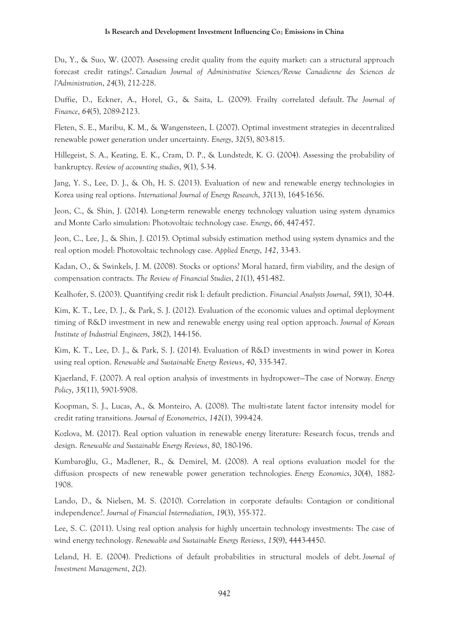#### **Is Research and Development Investment Influencing Co<sup>2</sup> Emissions in China**

Du, Y., & Suo, W. (2007). Assessing credit quality from the equity market: can a structural approach forecast credit ratings?. *Canadian Journal of Administrative Sciences/Revue Canadienne des Sciences de l'Administration*, *24*(3), 212-228.

Duffie, D., Eckner, A., Horel, G., & Saita, L. (2009). Frailty correlated default. *The Journal of Finance*, *64*(5), 2089-2123.

Fleten, S. E., Maribu, K. M., & Wangensteen, I. (2007). Optimal investment strategies in decentralized renewable power generation under uncertainty. *Energy*, *32*(5), 803-815.

Hillegeist, S. A., Keating, E. K., Cram, D. P., & Lundstedt, K. G. (2004). Assessing the probability of bankruptcy. *Review of accounting studies*, *9*(1), 5-34.

Jang, Y. S., Lee, D. J., & Oh, H. S. (2013). Evaluation of new and renewable energy technologies in Korea using real options. *International Journal of Energy Research*, *37*(13), 1645-1656.

Jeon, C., & Shin, J. (2014). Long-term renewable energy technology valuation using system dynamics and Monte Carlo simulation: Photovoltaic technology case. *Energy*, *66*, 447-457.

Jeon, C., Lee, J., & Shin, J. (2015). Optimal subsidy estimation method using system dynamics and the real option model: Photovoltaic technology case. *Applied Energy*, *142*, 33-43.

Kadan, O., & Swinkels, J. M. (2008). Stocks or options? Moral hazard, firm viability, and the design of compensation contracts. *The Review of Financial Studies*, *21*(1), 451-482.

Kealhofer, S. (2003). Quantifying credit risk I: default prediction. *Financial Analysts Journal*, *59*(1), 30-44.

Kim, K. T., Lee, D. J., & Park, S. J. (2012). Evaluation of the economic values and optimal deployment timing of R&D investment in new and renewable energy using real option approach. *Journal of Korean Institute of Industrial Engineers*, *38*(2), 144-156.

Kim, K. T., Lee, D. J., & Park, S. J. (2014). Evaluation of R&D investments in wind power in Korea using real option. *Renewable and Sustainable Energy Reviews*, *40*, 335-347.

Kjaerland, F. (2007). A real option analysis of investments in hydropower—The case of Norway. *Energy Policy*, *35*(11), 5901-5908.

Koopman, S. J., Lucas, A., & Monteiro, A. (2008). The multi-state latent factor intensity model for credit rating transitions. *Journal of Econometrics*, *142*(1), 399-424.

Kozlova, M. (2017). Real option valuation in renewable energy literature: Research focus, trends and design. *Renewable and Sustainable Energy Reviews*, *80*, 180-196.

Kumbaroğlu, G., Madlener, R., & Demirel, M. (2008). A real options evaluation model for the diffusion prospects of new renewable power generation technologies. *Energy Economics*, *30*(4), 1882- 1908.

Lando, D., & Nielsen, M. S. (2010). Correlation in corporate defaults: Contagion or conditional independence?. *Journal of Financial Intermediation*, *19*(3), 355-372.

Lee, S. C. (2011). Using real option analysis for highly uncertain technology investments: The case of wind energy technology. *Renewable and Sustainable Energy Reviews*, *15*(9), 4443-4450.

Leland, H. E. (2004). Predictions of default probabilities in structural models of debt. *Journal of Investment Management*, *2*(2).